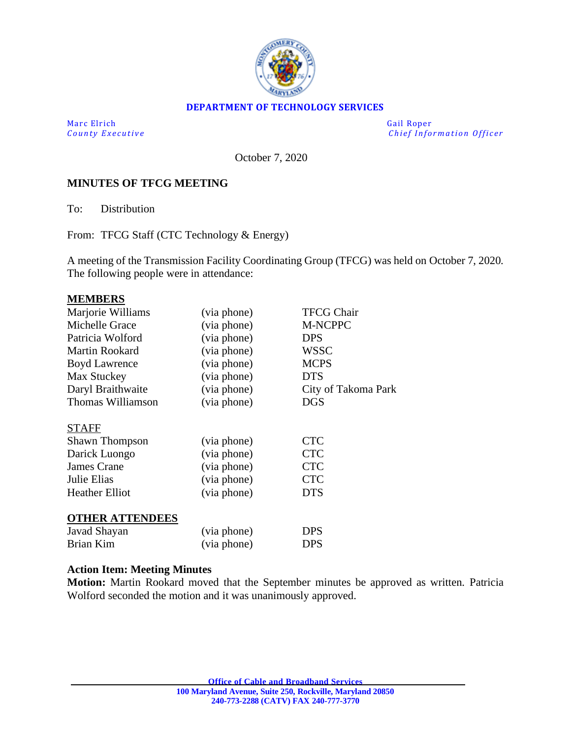

### **DEPARTMENT OF TECHNOLOGY SERVICES**

Marc Elrich Gail Roper

*County Executive County Executive Chief Information Officer* 

October 7, 2020

### **MINUTES OF TFCG MEETING**

To: Distribution

From: TFCG Staff (CTC Technology & Energy)

A meeting of the Transmission Facility Coordinating Group (TFCG) was held on October 7, 2020. The following people were in attendance:

#### **MEMBERS**

| Marjorie Williams      | (via phone) | <b>TFCG Chair</b>   |
|------------------------|-------------|---------------------|
| Michelle Grace         | (via phone) | M-NCPPC             |
| Patricia Wolford       | (via phone) | <b>DPS</b>          |
| Martin Rookard         | (via phone) | <b>WSSC</b>         |
| <b>Boyd Lawrence</b>   | (via phone) | <b>MCPS</b>         |
| Max Stuckey            | (via phone) | <b>DTS</b>          |
| Daryl Braithwaite      | (via phone) | City of Takoma Park |
| Thomas Williamson      | (via phone) | <b>DGS</b>          |
| <b>STAFF</b>           |             |                     |
| <b>Shawn Thompson</b>  | (via phone) | <b>CTC</b>          |
| Darick Luongo          | (via phone) | <b>CTC</b>          |
| James Crane            | (via phone) | <b>CTC</b>          |
| <b>Julie Elias</b>     | (via phone) | <b>CTC</b>          |
| <b>Heather Elliot</b>  | (via phone) | <b>DTS</b>          |
| <b>OTHER ATTENDEES</b> |             |                     |
| Javad Shayan           | (via phone) | <b>DPS</b>          |
| Brian Kim              | (via phone) | <b>DPS</b>          |

#### **Action Item: Meeting Minutes**

**Motion:** Martin Rookard moved that the September minutes be approved as written. Patricia Wolford seconded the motion and it was unanimously approved.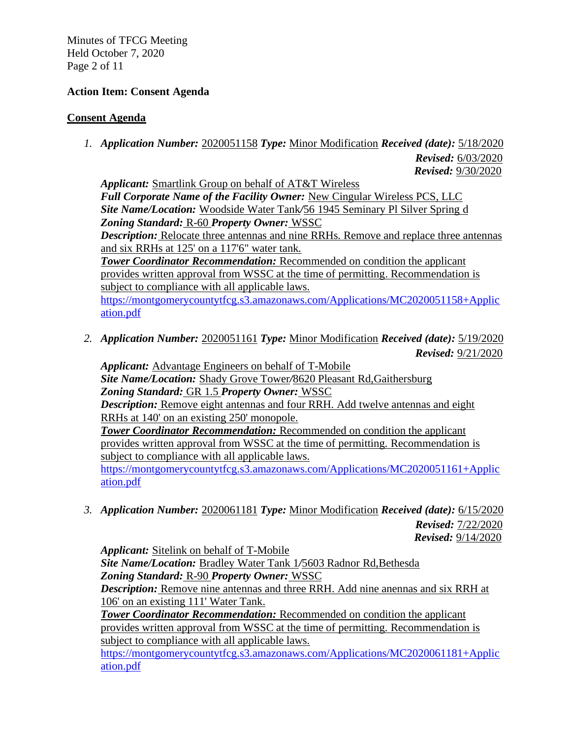Minutes of TFCG Meeting Held October 7, 2020 Page 2 of 11

## **Action Item: Consent Agenda**

## **Consent Agenda**

*1. Application Number:* 2020051158 *Type:* Minor Modification *Received (date):* 5/18/2020

*Revised:* 6/03/2020

 *Revised:* 9/30/2020

*Applicant:* Smartlink Group on behalf of AT&T Wireless

*Full Corporate Name of the Facility Owner:* New Cingular Wireless PCS, LLC *Site Name/Location:* Woodside Water Tank*/*56 1945 Seminary Pl Silver Spring d *Zoning Standard:* R-60 *Property Owner:* WSSC

*Description:* Relocate three antennas and nine RRHs. Remove and replace three antennas and six RRHs at 125' on a 117'6" water tank.

*Tower Coordinator Recommendation:* Recommended on condition the applicant provides written approval from WSSC at the time of permitting. Recommendation is subject to compliance with all applicable laws.

[https://montgomerycountytfcg.s3.amazonaws.com/Applications/MC2020051158+Applic](https://montgomerycountytfcg.s3.amazonaws.com/Applications/MC2020051158+Application.pdf) [ation.pdf](https://montgomerycountytfcg.s3.amazonaws.com/Applications/MC2020051158+Application.pdf)

*2. Application Number:* 2020051161 *Type:* Minor Modification *Received (date):* 5/19/2020 *Revised:* 9/21/2020

*Applicant:* Advantage Engineers on behalf of T-Mobile

*Site Name/Location:* Shady Grove Tower*/*8620 Pleasant Rd,Gaithersburg *Zoning Standard:* GR 1.5 *Property Owner:* WSSC

*Description:* Remove eight antennas and four RRH. Add twelve antennas and eight RRHs at 140' on an existing 250' monopole.

*Tower Coordinator Recommendation:* Recommended on condition the applicant provides written approval from WSSC at the time of permitting. Recommendation is subject to compliance with all applicable laws.

[https://montgomerycountytfcg.s3.amazonaws.com/Applications/MC2020051161+Applic](https://montgomerycountytfcg.s3.amazonaws.com/Applications/MC2020051161+Application.pdf) [ation.pdf](https://montgomerycountytfcg.s3.amazonaws.com/Applications/MC2020051161+Application.pdf) 

*3. Application Number:* 2020061181 *Type:* Minor Modification *Received (date):* 6/15/2020 *Revised:* 7/22/2020  *Revised:* 9/14/2020

*Applicant:* Sitelink on behalf of T-Mobile *Site Name/Location:* Bradley Water Tank 1*/*5603 Radnor Rd,Bethesda *Zoning Standard:* R-90 *Property Owner:* WSSC *Description:* Remove nine antennas and three RRH. Add nine anennas and six RRH at 106' on an existing 111' Water Tank. *Tower Coordinator Recommendation:* Recommended on condition the applicant provides written approval from WSSC at the time of permitting. Recommendation is subject to compliance with all applicable laws.

[https://montgomerycountytfcg.s3.amazonaws.com/Applications/MC2020061181+Applic](https://montgomerycountytfcg.s3.amazonaws.com/Applications/MC2020061181+Application.pdf) [ation.pdf](https://montgomerycountytfcg.s3.amazonaws.com/Applications/MC2020061181+Application.pdf)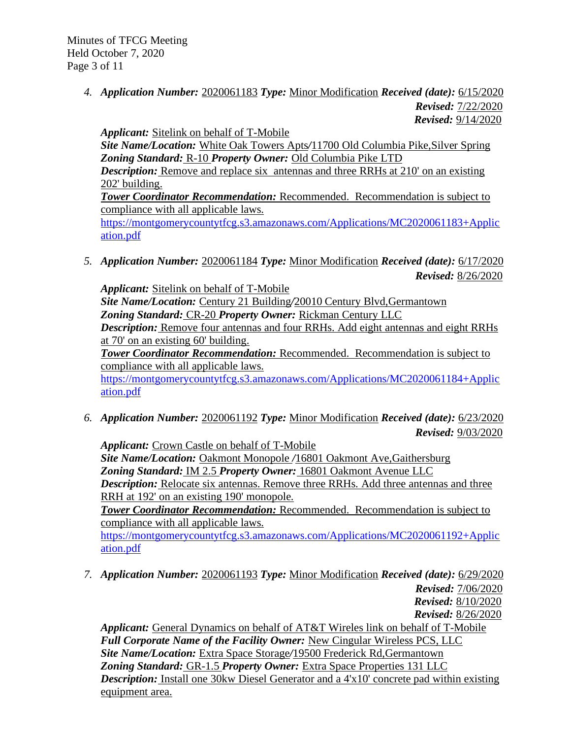Minutes of TFCG Meeting Held October 7, 2020 Page 3 of 11

> *4. Application Number:* 2020061183 *Type:* Minor Modification *Received (date):* 6/15/2020 *Revised:* 7/22/2020  *Revised:* 9/14/2020

*Applicant:* Sitelink on behalf of T-Mobile

*Site Name/Location:* White Oak Towers Apts*/*11700 Old Columbia Pike,Silver Spring *Zoning Standard:* R-10 *Property Owner:* Old Columbia Pike LTD

*Description:* Remove and replace six antennas and three RRHs at 210' on an existing 202' building.

*Tower Coordinator Recommendation: Recommended. Recommendation is subject to* compliance with all applicable laws.

[https://montgomerycountytfcg.s3.amazonaws.com/Applications/MC2020061183+Applic](https://montgomerycountytfcg.s3.amazonaws.com/Applications/MC2020061183+Application.pdf) [ation.pdf](https://montgomerycountytfcg.s3.amazonaws.com/Applications/MC2020061183+Application.pdf)

*5. Application Number:* 2020061184 *Type:* Minor Modification *Received (date):* 6/17/2020 *Revised:* 8/26/2020

*Applicant:* Sitelink on behalf of T-Mobile *Site Name/Location:* Century 21 Building*/*20010 Century Blvd,Germantown *Zoning Standard:* CR-20 *Property Owner:* Rickman Century LLC *Description:* Remove four antennas and four RRHs. Add eight antennas and eight RRHs at 70' on an existing 60' building. *Tower Coordinator Recommendation:* Recommended. Recommendation is subject to compliance with all applicable laws. [https://montgomerycountytfcg.s3.amazonaws.com/Applications/MC2020061184+Applic](https://montgomerycountytfcg.s3.amazonaws.com/Applications/MC2020061184+Application.pdf) [ation.pdf](https://montgomerycountytfcg.s3.amazonaws.com/Applications/MC2020061184+Application.pdf)

*6. Application Number:* 2020061192 *Type:* Minor Modification *Received (date):* 6/23/2020 *Revised:* 9/03/2020

*Applicant:* Crown Castle on behalf of T-Mobile *Site Name/Location:* Oakmont Monopole */*16801 Oakmont Ave,Gaithersburg *Zoning Standard:* IM 2.5 *Property Owner:* 16801 Oakmont Avenue LLC *Description:* Relocate six antennas. Remove three RRHs. Add three antennas and three RRH at 192' on an existing 190' monopole.

*Tower Coordinator Recommendation:* Recommended. Recommendation is subject to compliance with all applicable laws.

[https://montgomerycountytfcg.s3.amazonaws.com/Applications/MC2020061192+Applic](https://montgomerycountytfcg.s3.amazonaws.com/Applications/MC2020061192+Application.pdf) [ation.pdf](https://montgomerycountytfcg.s3.amazonaws.com/Applications/MC2020061192+Application.pdf)

*7. Application Number:* 2020061193 *Type:* Minor Modification *Received (date):* 6/29/2020

*Revised:* 7/06/2020

 *Revised:* 8/10/2020

*Revised:* 8/26/2020

*Applicant:* General Dynamics on behalf of AT&T Wireles link on behalf of T-Mobile Full Corporate Name of the Facility Owner: New Cingular Wireless PCS, LLC *Site Name/Location:* Extra Space Storage*/*19500 Frederick Rd,Germantown *Zoning Standard:* GR-1.5 *Property Owner:* Extra Space Properties 131 LLC *Description:* Install one 30kw Diesel Generator and a 4'x10' concrete pad within existing equipment area.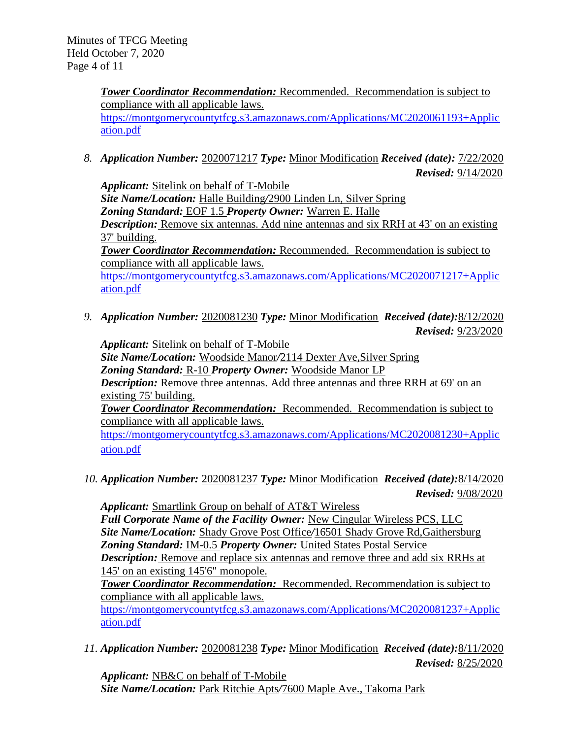*Tower Coordinator Recommendation:* Recommended. Recommendation is subject to compliance with all applicable laws. [https://montgomerycountytfcg.s3.amazonaws.com/Applications/MC2020061193+Applic](https://montgomerycountytfcg.s3.amazonaws.com/Applications/MC2020061193+Application.pdf) [ation.pdf](https://montgomerycountytfcg.s3.amazonaws.com/Applications/MC2020061193+Application.pdf)

*8. Application Number:* 2020071217 *Type:* Minor Modification *Received (date):* 7/22/2020 *Revised:* 9/14/2020

*Applicant:* Sitelink on behalf of T-Mobile *Site Name/Location:* Halle Building*/*2900 Linden Ln, Silver Spring *Zoning Standard:* EOF 1.5 *Property Owner:* Warren E. Halle *Description:* Remove six antennas. Add nine antennas and six RRH at 43' on an existing 37' building. *Tower Coordinator Recommendation:* Recommended. Recommendation is subject to compliance with all applicable laws. [https://montgomerycountytfcg.s3.amazonaws.com/Applications/MC2020071217+Applic](https://montgomerycountytfcg.s3.amazonaws.com/Applications/MC2020071217+Application.pdf)

[ation.pdf](https://montgomerycountytfcg.s3.amazonaws.com/Applications/MC2020071217+Application.pdf)

*9. Application Number:* 2020081230 *Type:* Minor Modification *Received (date):*8/12/2020 *Revised:* 9/23/2020

*Applicant:* Sitelink on behalf of T-Mobile *Site Name/Location:* Woodside Manor*/*2114 Dexter Ave,Silver Spring *Zoning Standard:* R-10 *Property Owner:* Woodside Manor LP *Description:* Remove three antennas. Add three antennas and three RRH at 69' on an existing 75' building. *Tower Coordinator Recommendation:* Recommended. Recommendation is subject to compliance with all applicable laws. [https://montgomerycountytfcg.s3.amazonaws.com/Applications/MC2020081230+Applic](https://montgomerycountytfcg.s3.amazonaws.com/Applications/MC2020081230+Application.pdf) [ation.pdf](https://montgomerycountytfcg.s3.amazonaws.com/Applications/MC2020081230+Application.pdf)

*10. Application Number:* 2020081237 *Type:* Minor Modification *Received (date):*8/14/2020 *Revised:* 9/08/2020

*Applicant:* Smartlink Group on behalf of AT&T Wireless *Full Corporate Name of the Facility Owner:* New Cingular Wireless PCS, LLC *Site Name/Location:* Shady Grove Post Office*/*16501 Shady Grove Rd,Gaithersburg *Zoning Standard:* IM-0.5 *Property Owner:* United States Postal Service *Description:* Remove and replace six antennas and remove three and add six RRHs at 145' on an existing 145'6" monopole. **Tower Coordinator Recommendation:** Recommended. Recommendation is subject to

compliance with all applicable laws. [https://montgomerycountytfcg.s3.amazonaws.com/Applications/MC2020081237+Applic](https://montgomerycountytfcg.s3.amazonaws.com/Applications/MC2020081237+Application.pdf) [ation.pdf](https://montgomerycountytfcg.s3.amazonaws.com/Applications/MC2020081237+Application.pdf)

*11. Application Number:* 2020081238 *Type:* Minor Modification *Received (date):*8/11/2020 *Revised:* 8/25/2020

*Applicant:* NB&C on behalf of T-Mobile *Site Name/Location:* Park Ritchie Apts*/*7600 Maple Ave., Takoma Park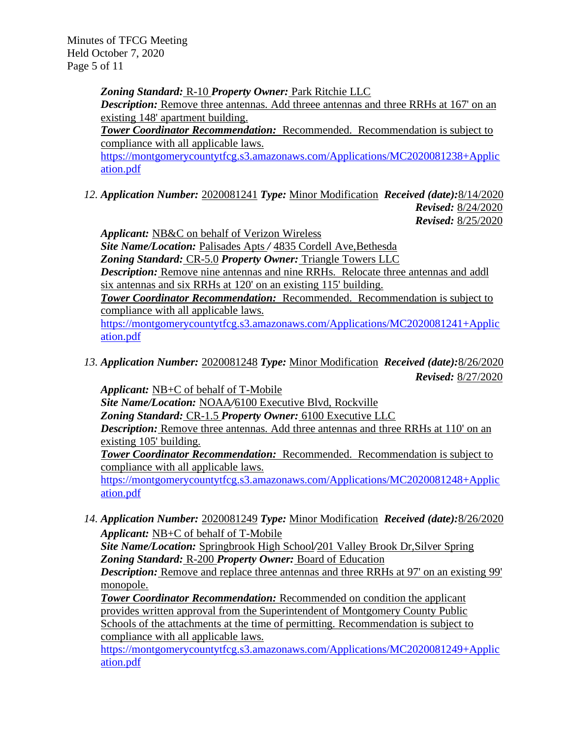Minutes of TFCG Meeting Held October 7, 2020 Page 5 of 11

> *Zoning Standard:* R-10 *Property Owner:* Park Ritchie LLC **Description:** Remove three antennas. Add threee antennas and three RRHs at 167' on an existing 148' apartment building. *Tower Coordinator Recommendation:* Recommended. Recommendation is subject to

compliance with all applicable laws.

[https://montgomerycountytfcg.s3.amazonaws.com/Applications/MC2020081238+Applic](https://montgomerycountytfcg.s3.amazonaws.com/Applications/MC2020081238+Application.pdf) [ation.pdf](https://montgomerycountytfcg.s3.amazonaws.com/Applications/MC2020081238+Application.pdf)

*12. Application Number:* 2020081241 *Type:* Minor Modification *Received (date):*8/14/2020 *Revised:* 8/24/2020 *Revised:* 8/25/2020

*Applicant:* NB&C on behalf of Verizon Wireless

*Site Name/Location:* Palisades Apts */* 4835 Cordell Ave,Bethesda *Zoning Standard:* CR-5.0 *Property Owner:* Triangle Towers LLC **Description:** Remove nine antennas and nine RRHs. Relocate three antennas and addl six antennas and six RRHs at 120' on an existing 115' building.

**Tower Coordinator Recommendation:** Recommended. Recommendation is subject to compliance with all applicable laws.

[https://montgomerycountytfcg.s3.amazonaws.com/Applications/MC2020081241+Applic](https://montgomerycountytfcg.s3.amazonaws.com/Applications/MC2020081241+Application.pdf) [ation.pdf](https://montgomerycountytfcg.s3.amazonaws.com/Applications/MC2020081241+Application.pdf)

*13. Application Number:* 2020081248 *Type:* Minor Modification *Received (date):*8/26/2020 *Revised:* 8/27/2020

*Applicant:* NB+C of behalf of T-Mobile *Site Name/Location:* NOAA*/*6100 Executive Blvd, Rockville *Zoning Standard:* CR-1.5 *Property Owner:* 6100 Executive LLC

*Description:* Remove three antennas. Add three antennas and three RRHs at 110' on an existing 105' building.

*Tower Coordinator Recommendation:* Recommended. Recommendation is subject to compliance with all applicable laws.

[https://montgomerycountytfcg.s3.amazonaws.com/Applications/MC2020081248+Applic](https://montgomerycountytfcg.s3.amazonaws.com/Applications/MC2020081248+Application.pdf) [ation.pdf](https://montgomerycountytfcg.s3.amazonaws.com/Applications/MC2020081248+Application.pdf)

*14. Application Number:* 2020081249 *Type:* Minor Modification *Received (date):*8/26/2020 *Applicant:* NB+C of behalf of T-Mobile

*Site Name/Location:* Springbrook High School*/*201 Valley Brook Dr,Silver Spring *Zoning Standard:* R-200 *Property Owner:* Board of Education

*Description:* Remove and replace three antennas and three RRHs at 97' on an existing 99' monopole.

*Tower Coordinator Recommendation:* Recommended on condition the applicant provides written approval from the Superintendent of Montgomery County Public Schools of the attachments at the time of permitting. Recommendation is subject to compliance with all applicable laws.

[https://montgomerycountytfcg.s3.amazonaws.com/Applications/MC2020081249+Applic](https://montgomerycountytfcg.s3.amazonaws.com/Applications/MC2020081249+Application.pdf) [ation.pdf](https://montgomerycountytfcg.s3.amazonaws.com/Applications/MC2020081249+Application.pdf)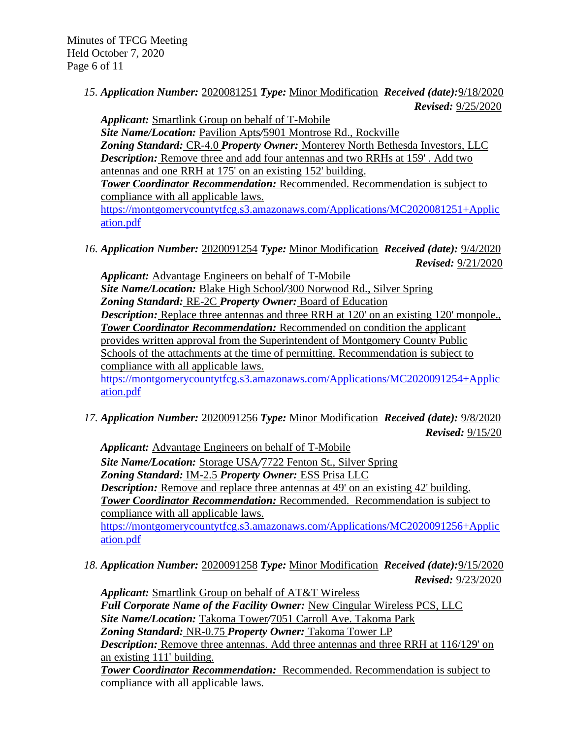*15. Application Number:* 2020081251 *Type:* Minor Modification *Received (date):*9/18/2020  *Revised:* 9/25/2020

*Applicant:* Smartlink Group on behalf of T-Mobile *Site Name/Location:* Pavilion Apts*/*5901 Montrose Rd., Rockville *Zoning Standard:* CR-4.0 *Property Owner:* Monterey North Bethesda Investors, LLC *Description:* Remove three and add four antennas and two RRHs at 159'. Add two antennas and one RRH at 175' on an existing 152' building. *Tower Coordinator Recommendation:* Recommended. Recommendation is subject to compliance with all applicable laws.

[https://montgomerycountytfcg.s3.amazonaws.com/Applications/MC2020081251+Applic](https://montgomerycountytfcg.s3.amazonaws.com/Applications/MC2020081251+Application.pdf) [ation.pdf](https://montgomerycountytfcg.s3.amazonaws.com/Applications/MC2020081251+Application.pdf)

*16. Application Number:* 2020091254 *Type:* Minor Modification *Received (date):* 9/4/2020 *Revised:* 9/21/2020

*Applicant:* Advantage Engineers on behalf of T-Mobile *Site Name/Location:* Blake High School*/*300 Norwood Rd., Silver Spring *Zoning Standard:* RE-2C *Property Owner:* Board of Education *Description:* Replace three antennas and three RRH at 120' on an existing 120' monpole.. **Tower Coordinator Recommendation:** Recommended on condition the applicant provides written approval from the Superintendent of Montgomery County Public Schools of the attachments at the time of permitting. Recommendation is subject to compliance with all applicable laws. [https://montgomerycountytfcg.s3.amazonaws.com/Applications/MC2020091254+Applic](https://montgomerycountytfcg.s3.amazonaws.com/Applications/MC2020091254+Application.pdf) [ation.pdf](https://montgomerycountytfcg.s3.amazonaws.com/Applications/MC2020091254+Application.pdf)

*17. Application Number:* 2020091256 *Type:* Minor Modification *Received (date):* 9/8/2020 *Revised:* 9/15/20

*Applicant:* Advantage Engineers on behalf of T-Mobile *Site Name/Location:* Storage USA*/*7722 Fenton St., Silver Spring *Zoning Standard:* IM-2.5 *Property Owner:* ESS Prisa LLC *Description:* Remove and replace three antennas at 49' on an existing 42' building. *Tower Coordinator Recommendation:* Recommended. Recommendation is subject to compliance with all applicable laws.

[https://montgomerycountytfcg.s3.amazonaws.com/Applications/MC2020091256+Applic](https://montgomerycountytfcg.s3.amazonaws.com/Applications/MC2020091256+Application.pdf) [ation.pdf](https://montgomerycountytfcg.s3.amazonaws.com/Applications/MC2020091256+Application.pdf)

*18. Application Number:* 2020091258 *Type:* Minor Modification *Received (date):*9/15/2020 *Revised:* 9/23/2020

*Applicant:* Smartlink Group on behalf of AT&T Wireless *Full Corporate Name of the Facility Owner:* New Cingular Wireless PCS, LLC *Site Name/Location:* Takoma Tower*/*7051 Carroll Ave. Takoma Park *Zoning Standard:* NR-0.75 *Property Owner:* Takoma Tower LP *Description:* Remove three antennas. Add three antennas and three RRH at 116/129' on an existing 111' building. *Tower Coordinator Recommendation:* Recommended. Recommendation is subject to compliance with all applicable laws.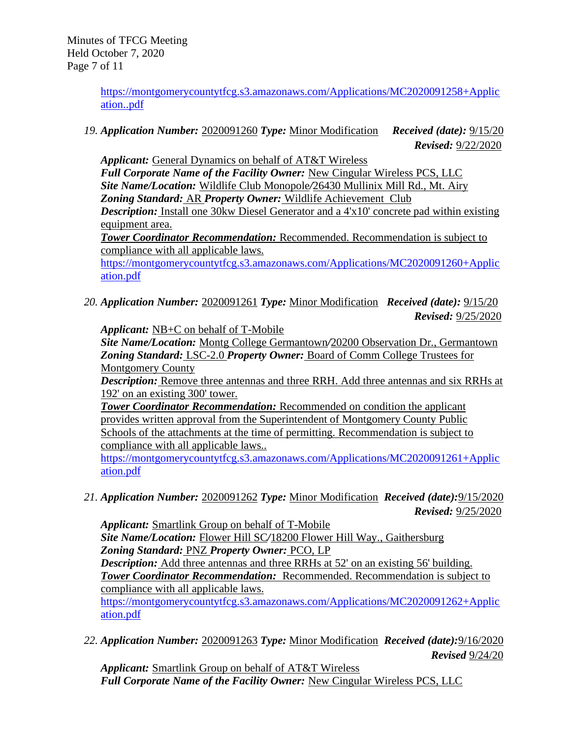Minutes of TFCG Meeting Held October 7, 2020 Page 7 of 11

> [https://montgomerycountytfcg.s3.amazonaws.com/Applications/MC2020091258+Applic](https://montgomerycountytfcg.s3.amazonaws.com/Applications/MC2020091258+Application..pdf) [ation..pdf](https://montgomerycountytfcg.s3.amazonaws.com/Applications/MC2020091258+Application..pdf)

*19. Application Number:* 2020091260 *Type:* Minor Modification *Received (date):* 9/15/20 *Revised:* 9/22/2020

*Applicant:* General Dynamics on behalf of AT&T Wireless Full Corporate Name of the Facility Owner: New Cingular Wireless PCS, LLC *Site Name/Location:* Wildlife Club Monopole*/*26430 Mullinix Mill Rd., Mt. Airy *Zoning Standard:* AR *Property Owner:* Wildlife Achievement Club *Description:* Install one 30kw Diesel Generator and a 4'x10' concrete pad within existing equipment area. **Tower Coordinator Recommendation:** Recommended. Recommendation is subject to compliance with all applicable laws.

[https://montgomerycountytfcg.s3.amazonaws.com/Applications/MC2020091260+Applic](https://montgomerycountytfcg.s3.amazonaws.com/Applications/MC2020091260+Application.pdf) [ation.pdf](https://montgomerycountytfcg.s3.amazonaws.com/Applications/MC2020091260+Application.pdf)

*20. Application Number:* 2020091261 *Type:* Minor Modification *Received (date):* 9/15/20  *Revised:* 9/25/2020

*Applicant:* NB+C on behalf of T-Mobile

*Site Name/Location:* Montg College Germantown*/*20200 Observation Dr., Germantown *Zoning Standard:* LSC-2.0 *Property Owner:* Board of Comm College Trustees for Montgomery County

*Description:* Remove three antennas and three RRH. Add three antennas and six RRHs at 192' on an existing 300' tower.

*Tower Coordinator Recommendation:* Recommended on condition the applicant provides written approval from the Superintendent of Montgomery County Public Schools of the attachments at the time of permitting. Recommendation is subject to compliance with all applicable laws..

[https://montgomerycountytfcg.s3.amazonaws.com/Applications/MC2020091261+Applic](https://montgomerycountytfcg.s3.amazonaws.com/Applications/MC2020091261+Application.pdf) [ation.pdf](https://montgomerycountytfcg.s3.amazonaws.com/Applications/MC2020091261+Application.pdf)

*21. Application Number:* 2020091262 *Type:* Minor Modification *Received (date):*9/15/2020  *Revised:* 9/25/2020

*Applicant:* Smartlink Group on behalf of T-Mobile *Site Name/Location:* Flower Hill SC*/*18200 Flower Hill Way., Gaithersburg *Zoning Standard:* PNZ *Property Owner:* PCO, LP *Description:* Add three antennas and three RRHs at 52' on an existing 56' building. *Tower Coordinator Recommendation:* Recommended. Recommendation is subject to compliance with all applicable laws.

[https://montgomerycountytfcg.s3.amazonaws.com/Applications/MC2020091262+Applic](https://montgomerycountytfcg.s3.amazonaws.com/Applications/MC2020091262+Application.pdf) [ation.pdf](https://montgomerycountytfcg.s3.amazonaws.com/Applications/MC2020091262+Application.pdf)

*22. Application Number:* 2020091263 *Type:* Minor Modification *Received (date):*9/16/2020  *Revised* 9/24/20

*Applicant:* Smartlink Group on behalf of AT&T Wireless *Full Corporate Name of the Facility Owner: New Cingular Wireless PCS, LLC*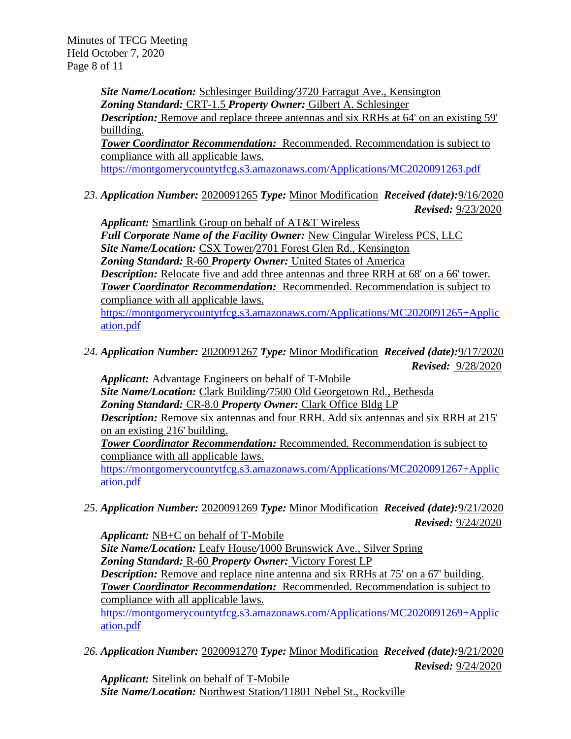Minutes of TFCG Meeting Held October 7, 2020 Page 8 of 11

> *Site Name/Location:* Schlesinger Building*/*3720 Farragut Ave., Kensington *Zoning Standard:* CRT-1.5 *Property Owner:* Gilbert A. Schlesinger **Description:** Remove and replace threee antennas and six RRHs at 64' on an existing 59' buillding.

*Tower Coordinator Recommendation:* Recommended. Recommendation is subject to compliance with all applicable laws.

<https://montgomerycountytfcg.s3.amazonaws.com/Applications/MC2020091263.pdf>

*23. Application Number:* 2020091265 *Type:* Minor Modification *Received (date):*9/16/2020  *Revised:* 9/23/2020

*Applicant:* Smartlink Group on behalf of AT&T Wireless *Full Corporate Name of the Facility Owner:* New Cingular Wireless PCS, LLC *Site Name/Location:* CSX Tower*/*2701 Forest Glen Rd., Kensington *Zoning Standard:* R-60 *Property Owner:* United States of America **Description:** Relocate five and add three antennas and three RRH at 68' on a 66' tower. *Tower Coordinator Recommendation:* Recommended. Recommendation is subject to compliance with all applicable laws. [https://montgomerycountytfcg.s3.amazonaws.com/Applications/MC2020091265+Applic](https://montgomerycountytfcg.s3.amazonaws.com/Applications/MC2020091265+Application.pdf) [ation.pdf](https://montgomerycountytfcg.s3.amazonaws.com/Applications/MC2020091265+Application.pdf)

*24. Application Number:* 2020091267 *Type:* Minor Modification *Received (date):*9/17/2020  *Revised:* 9/28/2020

*Applicant:* Advantage Engineers on behalf of T-Mobile *Site Name/Location:* Clark Building*/*7500 Old Georgetown Rd., Bethesda *Zoning Standard:* CR-8.0 *Property Owner:* Clark Office Bldg LP *Description:* Remove six antennas and four RRH. Add six antennas and six RRH at 215' on an existing 216' building.

*Tower Coordinator Recommendation:* Recommended. Recommendation is subject to compliance with all applicable laws.

[https://montgomerycountytfcg.s3.amazonaws.com/Applications/MC2020091267+Applic](https://montgomerycountytfcg.s3.amazonaws.com/Applications/MC2020091267+Application.pdf) [ation.pdf](https://montgomerycountytfcg.s3.amazonaws.com/Applications/MC2020091267+Application.pdf)

*25. Application Number:* 2020091269 *Type:* Minor Modification *Received (date):*9/21/2020 *Revised:* 9/24/2020

*Applicant:* NB+C on behalf of T-Mobile *Site Name/Location:* Leafy House*/*1000 Brunswick Ave., Silver Spring *Zoning Standard:* R-60 *Property Owner:* Victory Forest LP *Description:* Remove and replace nine antenna and six RRHs at 75' on a 67' building. *Tower Coordinator Recommendation:* Recommended. Recommendation is subject to compliance with all applicable laws. [https://montgomerycountytfcg.s3.amazonaws.com/Applications/MC2020091269+Applic](https://montgomerycountytfcg.s3.amazonaws.com/Applications/MC2020091269+Application.pdf) [ation.pdf](https://montgomerycountytfcg.s3.amazonaws.com/Applications/MC2020091269+Application.pdf)

*26. Application Number:* 2020091270 *Type:* Minor Modification *Received (date):*9/21/2020  *Revised:* 9/24/2020

*Applicant:* Sitelink on behalf of T-Mobile *Site Name/Location:* Northwest Station*/*11801 Nebel St., Rockville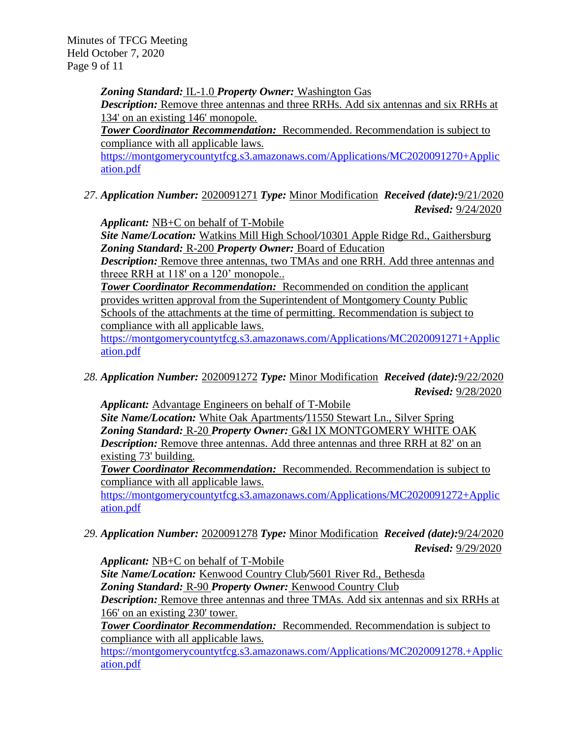Minutes of TFCG Meeting Held October 7, 2020 Page 9 of 11

> *Zoning Standard:* IL-1.0 *Property Owner:* Washington Gas *Description:* Remove three antennas and three RRHs. Add six antennas and six RRHs at 134' on an existing 146' monopole.

*Tower Coordinator Recommendation:* Recommended. Recommendation is subject to compliance with all applicable laws.

[https://montgomerycountytfcg.s3.amazonaws.com/Applications/MC2020091270+Applic](https://montgomerycountytfcg.s3.amazonaws.com/Applications/MC2020091270+Application.pdf) [ation.pdf](https://montgomerycountytfcg.s3.amazonaws.com/Applications/MC2020091270+Application.pdf)

*27. Application Number:* 2020091271 *Type:* Minor Modification *Received (date):*9/21/2020  *Revised:* 9/24/2020

*Applicant:* NB+C on behalf of T-Mobile

*Site Name/Location:* Watkins Mill High School*/*10301 Apple Ridge Rd., Gaithersburg *Zoning Standard:* R-200 *Property Owner:* Board of Education

*Description:* Remove three antennas, two TMAs and one RRH. Add three antennas and threee RRH at 118' on a 120' monopole...

*Tower Coordinator Recommendation:* Recommended on condition the applicant provides written approval from the Superintendent of Montgomery County Public Schools of the attachments at the time of permitting. Recommendation is subject to compliance with all applicable laws.

[https://montgomerycountytfcg.s3.amazonaws.com/Applications/MC2020091271+Applic](https://montgomerycountytfcg.s3.amazonaws.com/Applications/MC2020091271+Application.pdf) [ation.pdf](https://montgomerycountytfcg.s3.amazonaws.com/Applications/MC2020091271+Application.pdf)

*28. Application Number:* 2020091272 *Type:* Minor Modification *Received (date):*9/22/2020  *Revised:* 9/28/2020

*Applicant:* Advantage Engineers on behalf of T-Mobile *Site Name/Location:* White Oak Apartments*/*11550 Stewart Ln., Silver Spring *Zoning Standard:* R-20 *Property Owner:* G&I IX MONTGOMERY WHITE OAK *Description:* Remove three antennas. Add three antennas and three RRH at 82' on an existing 73' building.

*Tower Coordinator Recommendation:* Recommended. Recommendation is subject to compliance with all applicable laws.

[https://montgomerycountytfcg.s3.amazonaws.com/Applications/MC2020091272+Applic](https://montgomerycountytfcg.s3.amazonaws.com/Applications/MC2020091272+Application.pdf) [ation.pdf](https://montgomerycountytfcg.s3.amazonaws.com/Applications/MC2020091272+Application.pdf)

*29. Application Number:* 2020091278 *Type:* Minor Modification *Received (date):*9/24/2020  *Revised:* 9/29/2020

*Applicant:* NB+C on behalf of T-Mobile

*Site Name/Location:* Kenwood Country Club*/*5601 River Rd., Bethesda *Zoning Standard:* R-90 *Property Owner:* Kenwood Country Club *Description:* Remove three antennas and three TMAs. Add six antennas and six RRHs at 166' on an existing 230' tower.

*Tower Coordinator Recommendation:* Recommended. Recommendation is subject to compliance with all applicable laws.

[https://montgomerycountytfcg.s3.amazonaws.com/Applications/MC2020091278.+Applic](https://montgomerycountytfcg.s3.amazonaws.com/Applications/MC2020091278.+Application.pdf) [ation.pdf](https://montgomerycountytfcg.s3.amazonaws.com/Applications/MC2020091278.+Application.pdf)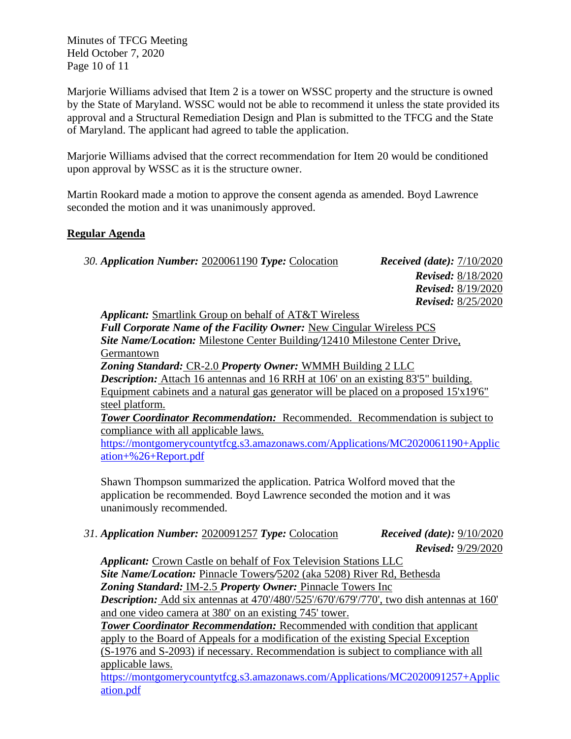Minutes of TFCG Meeting Held October 7, 2020 Page 10 of 11

Marjorie Williams advised that Item 2 is a tower on WSSC property and the structure is owned by the State of Maryland. WSSC would not be able to recommend it unless the state provided its approval and a Structural Remediation Design and Plan is submitted to the TFCG and the State of Maryland. The applicant had agreed to table the application.

Marjorie Williams advised that the correct recommendation for Item 20 would be conditioned upon approval by WSSC as it is the structure owner.

Martin Rookard made a motion to approve the consent agenda as amended. Boyd Lawrence seconded the motion and it was unanimously approved.

# **Regular Agenda**

| 30. Application Number: 2020061190 Type: Colocation                         | <i>Received (date):</i> $7/10/2020$ |
|-----------------------------------------------------------------------------|-------------------------------------|
|                                                                             | <b>Revised:</b> 8/18/2020           |
|                                                                             | <b>Revised:</b> 8/19/2020           |
|                                                                             | <b>Revised:</b> 8/25/2020           |
| <b>Applicant:</b> Smartlink Group on behalf of AT&T Wireless                |                                     |
| <b>Full Corporate Name of the Facility Owner: New Cingular Wireless PCS</b> |                                     |

*Site Name/Location:* Milestone Center Building*/*12410 Milestone Center Drive, Germantown

*Zoning Standard:* CR-2.0 *Property Owner:* WMMH Building 2 LLC *Description:* Attach 16 antennas and 16 RRH at 106' on an existing 83'5" building. Equipment cabinets and a natural gas generator will be placed on a proposed  $15'x19'6''$ steel platform.

*Tower Coordinator Recommendation:* Recommended. Recommendation is subject to compliance with all applicable laws.

[https://montgomerycountytfcg.s3.amazonaws.com/Applications/MC2020061190+Applic](https://montgomerycountytfcg.s3.amazonaws.com/Applications/MC2020061190+Application+%26+Report.pdf) [ation+%26+Report.pdf](https://montgomerycountytfcg.s3.amazonaws.com/Applications/MC2020061190+Application+%26+Report.pdf)

Shawn Thompson summarized the application. Patrica Wolford moved that the application be recommended. Boyd Lawrence seconded the motion and it was unanimously recommended.

*31. Application Number:* 2020091257 *Type:* Colocation *Received (date):* 9/10/2020

*Revised:* 9/29/2020

*Applicant:* Crown Castle on behalf of Fox Television Stations LLC *Site Name/Location:* Pinnacle Towers*/*5202 (aka 5208) River Rd, Bethesda *Zoning Standard:* IM-2.5 *Property Owner:* Pinnacle Towers Inc *Description:* Add six antennas at 470'/480'/525'/670'/679'/770', two dish antennas at 160' and one video camera at 380' on an existing 745' tower. *Tower Coordinator Recommendation:* Recommended with condition that applicant apply to the Board of Appeals for a modification of the existing Special Exception

(S-1976 and S-2093) if necessary. Recommendation is subject to compliance with all applicable laws.

[https://montgomerycountytfcg.s3.amazonaws.com/Applications/MC2020091257+Applic](https://montgomerycountytfcg.s3.amazonaws.com/Applications/MC2020091257+Application.pdf) [ation.pdf](https://montgomerycountytfcg.s3.amazonaws.com/Applications/MC2020091257+Application.pdf)